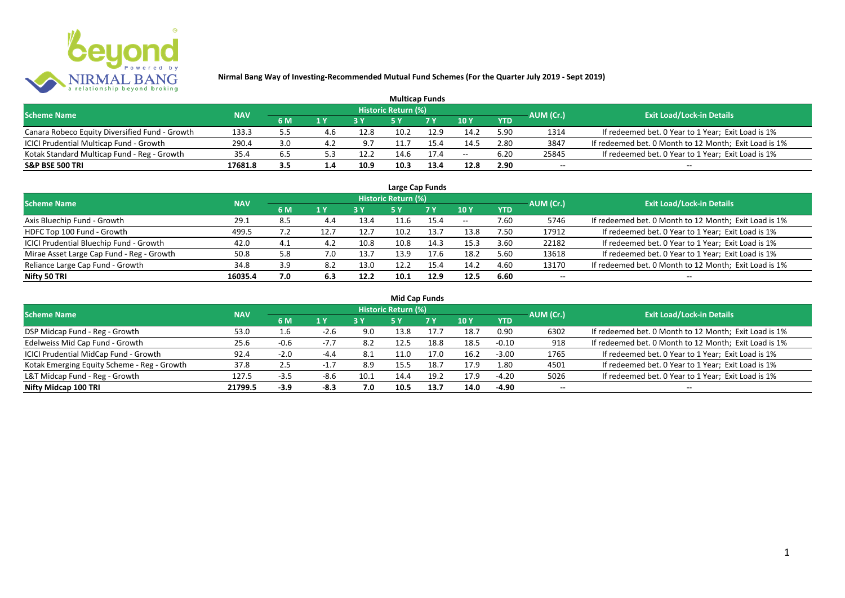

| <b>Multicap Funds</b>                          |            |     |     |      |                            |           |               |            |           |                                                       |  |  |  |
|------------------------------------------------|------------|-----|-----|------|----------------------------|-----------|---------------|------------|-----------|-------------------------------------------------------|--|--|--|
| <b>Scheme Name</b>                             | <b>NAV</b> |     |     |      | <b>Historic Return (%)</b> |           |               |            | AUM (Cr.) | <b>Exit Load/Lock-in Details</b>                      |  |  |  |
|                                                |            | 6 M | 1 Y |      |                            | <b>7Y</b> | $\sqrt{10}$ y | <b>YTD</b> |           |                                                       |  |  |  |
| Canara Robeco Equity Diversified Fund - Growth | 133.3      |     | 4.b | 12.8 | 10.2                       | 12.9      | 14.2          | 5.90       | 1314      | If redeemed bet. 0 Year to 1 Year; Exit Load is 1%    |  |  |  |
| ICICI Prudential Multicap Fund - Growth        | 290.4      | 3.0 |     | 9.7  |                            |           | 14.5          | 2.80       | 3847      | If redeemed bet. 0 Month to 12 Month; Exit Load is 1% |  |  |  |
| Kotak Standard Multicap Fund - Reg - Growth    | 35.4       | 6.5 |     | 12.2 |                            | 17.4      | $- -$         | 6.20       | 25845     | If redeemed bet. 0 Year to 1 Year; Exit Load is 1%    |  |  |  |
| <b>S&amp;P BSE 500 TRI</b>                     | 17681.8    | 3.5 | 1.4 | 10.9 | 10.3                       | 13.4      | 12.8          | 2.90       | $-$       | $- -$                                                 |  |  |  |

| Large Cap Funds                           |            |     |     |      |                            |      |       |            |           |                                                       |  |  |  |  |
|-------------------------------------------|------------|-----|-----|------|----------------------------|------|-------|------------|-----------|-------------------------------------------------------|--|--|--|--|
| <b>Scheme Name</b>                        | <b>NAV</b> |     |     |      | <b>Historic Return (%)</b> |      |       |            | AUM (Cr.) | <b>Exit Load/Lock-in Details</b>                      |  |  |  |  |
|                                           |            | 6 M | 1 Y |      | <b>5Y</b>                  | 7 Y  | 10Y   | <b>YTD</b> |           |                                                       |  |  |  |  |
| Axis Bluechip Fund - Growth               | 29.1       | 8.5 | 4.4 | 13.4 |                            | 15.4 | $- -$ | 7.60       | 5746      | If redeemed bet. 0 Month to 12 Month; Exit Load is 1% |  |  |  |  |
| HDFC Top 100 Fund - Growth                | 499.5      |     | 12. | 12.7 | 10.2                       | 13.7 | 13.8  | 7.50       | 17912     | If redeemed bet. 0 Year to 1 Year; Exit Load is 1%    |  |  |  |  |
| ICICI Prudential Bluechip Fund - Growth   | 42.0       | 4.1 | 4.2 | 10.8 | 10.8                       | 14.3 | 15.3  | 3.60       | 22182     | If redeemed bet. 0 Year to 1 Year; Exit Load is 1%    |  |  |  |  |
| Mirae Asset Large Cap Fund - Reg - Growth | 50.8       | 5.8 | 7.0 | 13.7 | 13.9                       | 17.6 | 18.2  | 5.60       | 13618     | If redeemed bet. 0 Year to 1 Year; Exit Load is 1%    |  |  |  |  |
| Reliance Large Cap Fund - Growth          | 34.8       | 3.9 | 8.2 | 13.0 | 12.2                       | 15.4 | 14.2  | 4.60       | 13170     | If redeemed bet. 0 Month to 12 Month; Exit Load is 1% |  |  |  |  |
| Nifty 50 TRI                              | 16035.4    | 7.0 | 6.3 | 12.2 | 10.1                       | 12.9 | 12.5  | 6.60       |           | --                                                    |  |  |  |  |

| <b>Mid Cap Funds</b>                        |            |        |        |      |                            |      |      |            |                          |                                                       |  |  |  |
|---------------------------------------------|------------|--------|--------|------|----------------------------|------|------|------------|--------------------------|-------------------------------------------------------|--|--|--|
| <b>Scheme Name</b>                          | <b>NAV</b> |        |        |      | <b>Historic Return (%)</b> |      |      |            | AUM (Cr.)                | <b>Exit Load/Lock-in Details</b>                      |  |  |  |
|                                             |            | 6 M    | 1 Y    |      | 5 Y                        | 7 Y  | 10Y  | <b>YTD</b> |                          |                                                       |  |  |  |
| DSP Midcap Fund - Reg - Growth              | 53.0       | 1.6    | $-2.6$ | 9.0  | 13.8                       | 17.7 | 18.7 | 0.90       | 6302                     | If redeemed bet. 0 Month to 12 Month; Exit Load is 1% |  |  |  |
| Edelweiss Mid Cap Fund - Growth             | 25.6       | $-0.6$ | $-7.7$ | 8.2  | 12.5                       | 18.8 | 18.5 | -0.10      | 918                      | If redeemed bet. 0 Month to 12 Month; Exit Load is 1% |  |  |  |
| ICICI Prudential MidCap Fund - Growth       | 92.4       | $-2.0$ | $-4.4$ | 8.1  | 1.0،                       | 17.0 | 16.2 | $-3.00$    | 1765                     | If redeemed bet. 0 Year to 1 Year; Exit Load is 1%    |  |  |  |
| Kotak Emerging Equity Scheme - Reg - Growth | 37.8       | 2.5    |        | 8.9  | 15.5                       | 18.7 | 17.9 | 1.80       | 4501                     | If redeemed bet. 0 Year to 1 Year; Exit Load is 1%    |  |  |  |
| L&T Midcap Fund - Reg - Growth              | 127.5      | $-3.5$ | $-8.6$ | 10.1 | 14.4                       | 19.2 | 17.9 | $-4.20$    | 5026                     | If redeemed bet. 0 Year to 1 Year; Exit Load is 1%    |  |  |  |
| Nifty Midcap 100 TRI                        | 21799.5    | $-3.9$ | $-8.3$ | 7.0  | 10.5                       | 13.7 | 14.0 | -4.90      | $\overline{\phantom{a}}$ | $- -$                                                 |  |  |  |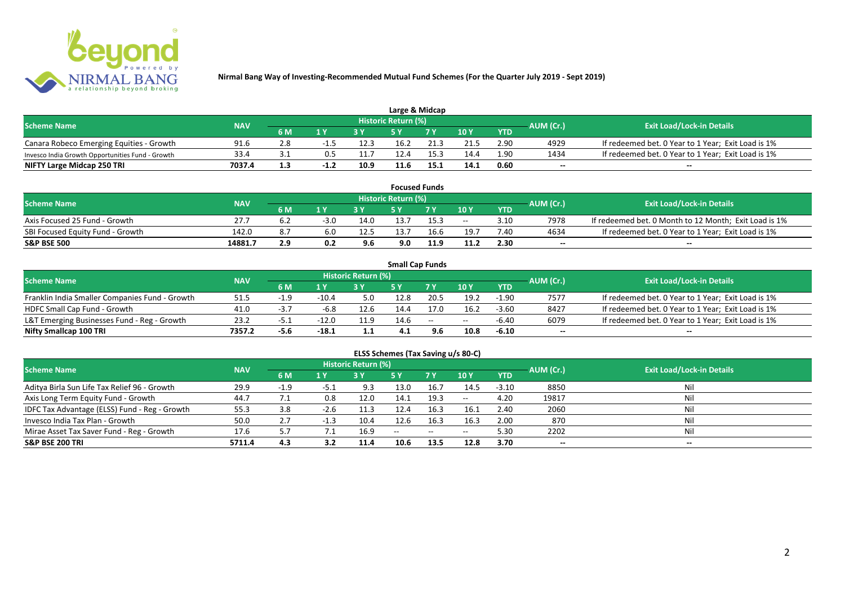

| Large & Midcap                                   |            |            |                |      |                            |      |      |            |           |                                                    |  |  |  |
|--------------------------------------------------|------------|------------|----------------|------|----------------------------|------|------|------------|-----------|----------------------------------------------------|--|--|--|
| <b>Scheme Name</b>                               | <b>NAV</b> |            |                |      | <b>Historic Return (%)</b> |      |      |            | AUM (Cr.) | <b>Exit Load/Lock-in Details</b>                   |  |  |  |
|                                                  |            | 6 M        | 1 <sub>N</sub> |      |                            | 7 V  | 10Y  | <b>YTD</b> |           |                                                    |  |  |  |
| Canara Robeco Emerging Equities - Growth         | 91.6       |            | -1.5           | 12.3 | 16.2                       | 21.3 | 21.5 | 2.90       | 4929      | If redeemed bet. 0 Year to 1 Year; Exit Load is 1% |  |  |  |
| Invesco India Growth Opportunities Fund - Growth | 33.4       |            |                | 11.7 | 12.4                       | 15.3 | 14.4 | 1.90       | 1434      | If redeemed bet. 0 Year to 1 Year; Exit Load is 1% |  |  |  |
| NIFTY Large Midcap 250 TRI                       | 7037.4     | 1 ጋ<br>⊥.∍ |                | 10.9 | 11.6                       | 15.1 | 14.1 | 0.60       | $- -$     | $- -$                                              |  |  |  |

|                                  |            |     |        |      |                     | <b>Focused Funds</b> |       |            |           |                                                       |
|----------------------------------|------------|-----|--------|------|---------------------|----------------------|-------|------------|-----------|-------------------------------------------------------|
| <b>Scheme Name</b>               | <b>NAV</b> |     |        |      | Historic Return (%) |                      |       |            | AUM (Cr.) | <b>Exit Load/Lock-in Details</b>                      |
|                                  |            | 6 M | 1 V    |      | cν                  | 7 V                  | 10 Y  | <b>YTD</b> |           |                                                       |
| Axis Focused 25 Fund - Growth    | 27.7       | b.Z | $-3.0$ | 14.0 | 13.7                | 15.3                 | $- -$ | 3.10       | 7978      | If redeemed bet. 0 Month to 12 Month; Exit Load is 1% |
| SBI Focused Equity Fund - Growth | 142.0      | 8.7 |        | 12.5 | 13.7                | 16.6                 | 19.7  | 7.4C       | 4634      | If redeemed bet. 0 Year to 1 Year; Exit Load is 1%    |
| <b>S&amp;P BSE 500</b>           | 14881.7    | 2.9 | 0.2    | 9.6  | 9.0                 | 11.9                 | 11.2  | 2.30       | $- -$     | $- -$                                                 |

|                                                |            |       |                         |                     | <b>Small Cap Funds</b> |                                                |       |            |                          |                                                    |
|------------------------------------------------|------------|-------|-------------------------|---------------------|------------------------|------------------------------------------------|-------|------------|--------------------------|----------------------------------------------------|
| <b>Scheme Name</b>                             | <b>NAV</b> |       |                         | Historic Return (%) |                        |                                                |       |            | AUM (Cr.)                | <b>Exit Load/Lock-in Details</b>                   |
|                                                |            | 6 M   | $\mathbf{1} \mathbf{V}$ |                     |                        | 7 V                                            | 10Y   | <b>YTD</b> |                          |                                                    |
| Franklin India Smaller Companies Fund - Growth | 51.5       |       | $-10.4$                 |                     | 12.8                   | 20.5                                           | 19.2  | $-1.90$    | 7577                     | If redeemed bet. 0 Year to 1 Year; Exit Load is 1% |
| HDFC Small Cap Fund - Growth                   | 41.0       | - 3   | -6.8                    | 12.6                | 14.4                   | 17.0                                           | 16.2  | $-3.60$    | 8427                     | If redeemed bet. 0 Year to 1 Year; Exit Load is 1% |
| L&T Emerging Businesses Fund - Reg - Growth    | 23.2       | ـ 5.- | $-12.0$                 | 11.9                | 14.6                   | $\hspace{0.1mm}-\hspace{0.1mm}-\hspace{0.1mm}$ | $- -$ | $-6.40$    | 6079                     | If redeemed bet. 0 Year to 1 Year; Exit Load is 1% |
| Nifty Smallcap 100 TRI                         | 7357.2     | -5.6  | $-18.1$                 | 1.1                 | 4.1                    | 9.6                                            | 10.8  | $-6.10$    | $\overline{\phantom{a}}$ | --                                                 |

# **ELSS Schemes (Tax Saving u/s 80-C)**

| <b>Scheme Name</b>                            | <b>NAV</b> |        |        | <b>Historic Return (%)</b> |               |            |               |            | AUM (Cr.) | Exit Load/Lock-in Details |
|-----------------------------------------------|------------|--------|--------|----------------------------|---------------|------------|---------------|------------|-----------|---------------------------|
|                                               |            | 6 M    | 1 Y    |                            | <b>5 Y</b>    | <b>7 Y</b> | 10Y           | <b>YTD</b> |           |                           |
| Aditya Birla Sun Life Tax Relief 96 - Growth  | 29.9       | $-1.9$ | -5.1   | 9.3                        | 13.0          | 16.7       | 14.5          | $-3.10$    | 8850      | Nil                       |
| Axis Long Term Equity Fund - Growth           | 44.7       |        | 0.8    | 12.0                       | 14.1          | 19.3       | $\sim$ $\sim$ | 4.20       | 19817     | Nil                       |
| IDFC Tax Advantage (ELSS) Fund - Reg - Growth | 55.3       | 3.8    | $-2.6$ | 11.3                       | 12.4          | 16.3       | 16.1          | 2.40       | 2060      | Nil                       |
| Invesco India Tax Plan - Growth               | 50.0       | 2.7    | $-1.3$ | 10.4                       | 12.6          | 16.3       | 16.3          | 2.00       | 870       | Nil                       |
| Mirae Asset Tax Saver Fund - Reg - Growth     | 17.6       | 5.7    |        | 16.9                       | $\sim$ $\sim$ | $- -$      | $- -$         | 5.30       | 2202      | Nil                       |
| <b>S&amp;P BSE 200 TRI</b>                    | 5711.4     | 4.3    | 3.2    | 11.4                       | 10.6          | 13.5       | 12.8          | 3.70       | $- -$     | $- -$                     |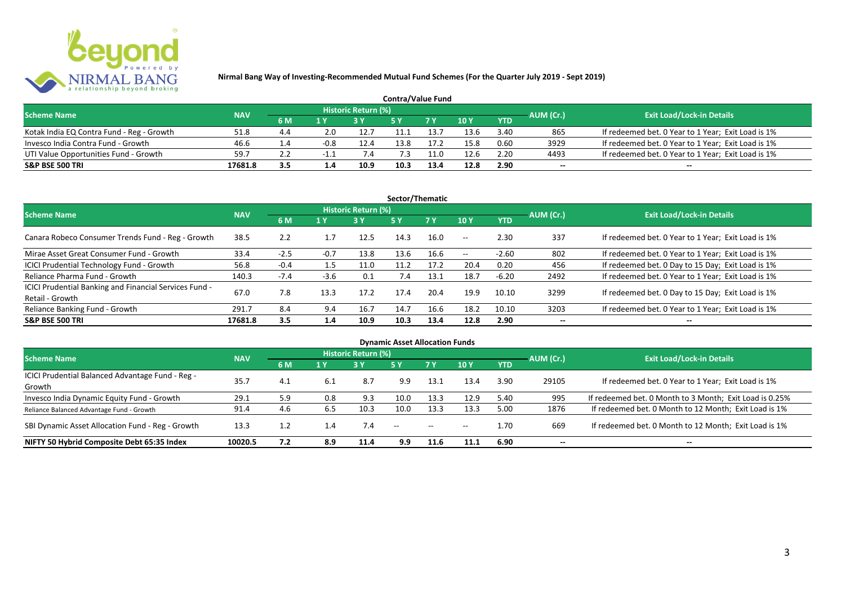

| <b>Contra/Value Fund</b>                  |            |           |        |                     |      |      |      |            |           |                                                    |  |  |  |
|-------------------------------------------|------------|-----------|--------|---------------------|------|------|------|------------|-----------|----------------------------------------------------|--|--|--|
| <b>Scheme Name</b>                        | <b>NAV</b> |           |        | Historic Return (%) |      |      |      |            | AUM (Cr.) | <b>Exit Load/Lock-in Details</b>                   |  |  |  |
|                                           |            | <b>6M</b> | 1 Y    |                     |      | 7 Y  | 10Y  | <b>YTD</b> |           |                                                    |  |  |  |
| Kotak India EQ Contra Fund - Reg - Growth | 51.8       | 4.4       | 2.0    | 12.7                |      | 13.7 | 13.6 | 3.40       | 865       | If redeemed bet. 0 Year to 1 Year; Exit Load is 1% |  |  |  |
| Invesco India Contra Fund - Growth        | 46.6       | 1.4       | $-0.8$ | 12.4                | 13.8 | 17.2 | 15.8 | 0.60       | 3929      | If redeemed bet. 0 Year to 1 Year; Exit Load is 1% |  |  |  |
| UTI Value Opportunities Fund - Growth     | 59.7       |           | - 1    |                     |      | .1.0 | 12.6 | 2.20       | 4493      | If redeemed bet. 0 Year to 1 Year; Exit Load is 1% |  |  |  |
| <b>S&amp;P BSE 500 TRI</b>                | 17681.8    | 3.5       | 1.4    | 10.9                | 10.3 | 13.4 | 12.8 | 2.90       | --        | $- -$                                              |  |  |  |

| Sector/Thematic                                                           |            |        |                  |                            |      |           |               |            |           |                                                    |  |  |  |
|---------------------------------------------------------------------------|------------|--------|------------------|----------------------------|------|-----------|---------------|------------|-----------|----------------------------------------------------|--|--|--|
| <b>Scheme Name</b>                                                        | <b>NAV</b> |        |                  | <b>Historic Return (%)</b> |      |           |               |            | AUM (Cr.) | <b>Exit Load/Lock-in Details</b>                   |  |  |  |
|                                                                           |            | 6 M    | $\overline{1}$ Y | <b>3 Y</b>                 | 5Y   | <b>7Y</b> | 10Y           | <b>YTD</b> |           |                                                    |  |  |  |
| Canara Robeco Consumer Trends Fund - Reg - Growth                         | 38.5       | 2.2    | 1.7              | 12.5                       | 14.3 | 16.0      | $-  \,$       | 2.30       | 337       | If redeemed bet. 0 Year to 1 Year; Exit Load is 1% |  |  |  |
| Mirae Asset Great Consumer Fund - Growth                                  | 33.4       | $-2.5$ | $-0.7$           | 13.8                       | 13.6 | 16.6      | $\sim$ $\sim$ | $-2.60$    | 802       | If redeemed bet. 0 Year to 1 Year; Exit Load is 1% |  |  |  |
| ICICI Prudential Technology Fund - Growth                                 | 56.8       | $-0.4$ | 1.5              | 11.0                       | 11.2 | 17.2      | 20.4          | 0.20       | 456       | If redeemed bet. 0 Day to 15 Day; Exit Load is 1%  |  |  |  |
| Reliance Pharma Fund - Growth                                             | 140.3      | $-7.4$ | $-3.6$           | 0.1                        | 7.4  | 13.1      | 18.7          | $-6.20$    | 2492      | If redeemed bet. 0 Year to 1 Year; Exit Load is 1% |  |  |  |
| ICICI Prudential Banking and Financial Services Fund -<br>Retail - Growth | 67.0       | 7.8    | 13.3             | 17.2                       | 17.4 | 20.4      | 19.9          | 10.10      | 3299      | If redeemed bet. 0 Day to 15 Day; Exit Load is 1%  |  |  |  |
| Reliance Banking Fund - Growth                                            | 291.7      | 8.4    | 9.4              | 16.7                       | 14.7 | 16.6      | 18.2          | 10.10      | 3203      | If redeemed bet. 0 Year to 1 Year; Exit Load is 1% |  |  |  |
| <b>S&amp;P BSE 500 TRI</b>                                                | 17681.8    | 3.5    | 1.4              | 10.9                       | 10.3 | 13.4      | 12.8          | 2.90       | --        | $- -$                                              |  |  |  |

| <b>Dynamic Asset Allocation Funds</b>            |            |     |     |                            |      |               |       |            |                          |                                                         |  |  |  |
|--------------------------------------------------|------------|-----|-----|----------------------------|------|---------------|-------|------------|--------------------------|---------------------------------------------------------|--|--|--|
| <b>Scheme Name</b>                               | <b>NAV</b> |     |     | <b>Historic Return (%)</b> |      |               |       |            | AUM (Cr.)                | <b>Exit Load/Lock-in Details</b>                        |  |  |  |
|                                                  |            | 6 M | 1 Y | 3Y                         | 5 Y  | 7Y            | 10Y   | <b>YTD</b> |                          |                                                         |  |  |  |
| ICICI Prudential Balanced Advantage Fund - Reg - | 35.7       | 4.1 | 6.1 | 8.7                        |      | 13.1          | 13.4  | 3.90       | 29105                    | If redeemed bet. 0 Year to 1 Year; Exit Load is 1%      |  |  |  |
| Growth                                           |            |     |     |                            | 9.9  |               |       |            |                          |                                                         |  |  |  |
| Invesco India Dynamic Equity Fund - Growth       | 29.1       | 5.9 | 0.8 | 9.3                        | 10.0 | 13.3          | 12.9  | 5.40       | 995                      | If redeemed bet. 0 Month to 3 Month; Exit Load is 0.25% |  |  |  |
| Reliance Balanced Advantage Fund - Growth        | 91.4       | 4.6 | 6.5 | 10.3                       | 10.0 | 13.3          | 13.3  | 5.00       | 1876                     | If redeemed bet. 0 Month to 12 Month; Exit Load is 1%   |  |  |  |
| SBI Dynamic Asset Allocation Fund - Reg - Growth | 13.3       |     | 1.4 | 7.4                        | $ -$ | $\sim$ $\sim$ | $- -$ | 1.70       | 669                      | If redeemed bet. 0 Month to 12 Month; Exit Load is 1%   |  |  |  |
| NIFTY 50 Hybrid Composite Debt 65:35 Index       | 10020.5    | 7.2 | 8.9 | 11.4                       | 9.9  | 11.6          | 11.1  | 6.90       | $\overline{\phantom{a}}$ | $- -$                                                   |  |  |  |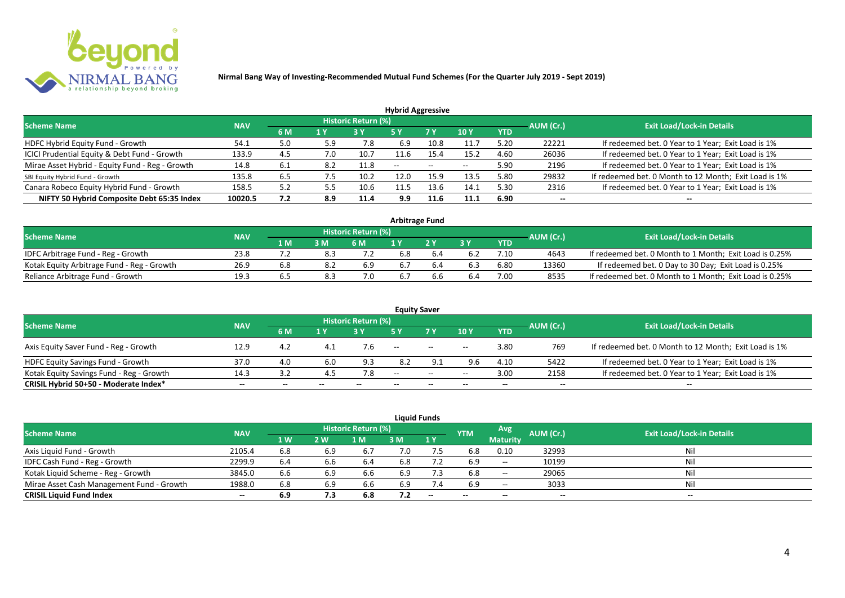

|                                                 |            |     |     |                            | <b>Hybrid Aggressive</b> |                          |                          |            |           |                                                       |
|-------------------------------------------------|------------|-----|-----|----------------------------|--------------------------|--------------------------|--------------------------|------------|-----------|-------------------------------------------------------|
| <b>Scheme Name</b>                              | <b>NAV</b> |     |     | <b>Historic Return (%)</b> |                          |                          |                          |            | AUM (Cr.) | <b>Exit Load/Lock-in Details</b>                      |
|                                                 |            | 6 M | 1 Y |                            | 5 Y                      | 7 Y                      | 10Y                      | <b>YTD</b> |           |                                                       |
| HDFC Hybrid Equity Fund - Growth                | 54.1       | 5.0 | 5.9 | 7.8                        | 6.9                      | 10.8                     | 11.7                     | 5.20       | 22221     | If redeemed bet. 0 Year to 1 Year; Exit Load is 1%    |
| ICICI Prudential Equity & Debt Fund - Growth    | 133.9      | 4.5 | 7.0 | 10.7                       | 11.6                     | 15.4                     | 15.2                     | 4.60       | 26036     | If redeemed bet. 0 Year to 1 Year; Exit Load is 1%    |
| Mirae Asset Hybrid - Equity Fund - Reg - Growth | 14.8       | 6.1 | 8.2 | 11.8                       | $\overline{\phantom{a}}$ | $\overline{\phantom{m}}$ | $\overline{\phantom{a}}$ | 5.90       | 2196      | If redeemed bet. 0 Year to 1 Year; Exit Load is 1%    |
| SBI Equity Hybrid Fund - Growth                 | 135.8      | 6.5 | 7.5 | 10.2                       | 12.0                     | 15.9                     | 13.5                     | 5.80       | 29832     | If redeemed bet. 0 Month to 12 Month; Exit Load is 1% |
| Canara Robeco Equity Hybrid Fund - Growth       | 158.5      | 5.2 |     | 10.6                       | 11.5                     | 13.6                     | 14.1                     | 5.30       | 2316      | If redeemed bet. 0 Year to 1 Year; Exit Load is 1%    |
| NIFTY 50 Hybrid Composite Debt 65:35 Index      | 10020.5    | 7.2 | 8.9 | 11.4                       | 9.9                      | 11.6                     | 11.1                     | 6.90       | $- -$     | $- -$                                                 |

| <b>Arbitrage Fund</b>                      |            |       |     |                            |     |  |     |      |           |                                                         |  |  |  |
|--------------------------------------------|------------|-------|-----|----------------------------|-----|--|-----|------|-----------|---------------------------------------------------------|--|--|--|
| <b>Scheme Name</b>                         | <b>NAV</b> |       |     | <b>Historic Return (%)</b> |     |  |     |      | AUM (Cr.) | <b>Exit Load/Lock-in Details</b>                        |  |  |  |
|                                            |            | 1 M   | 3 M | 6 M                        |     |  | 2 V | YTD  |           |                                                         |  |  |  |
| IDFC Arbitrage Fund - Reg - Growth         | 23.8       |       |     |                            | 6.8 |  |     |      | 4643      | If redeemed bet. 0 Month to 1 Month; Exit Load is 0.25% |  |  |  |
| Kotak Equity Arbitrage Fund - Reg - Growth | 26.9       | 6.8   |     | 6.9                        | 6.7 |  |     | 6.80 | 13360     | If redeemed bet. 0 Day to 30 Day; Exit Load is 0.25%    |  |  |  |
| Reliance Arbitrage Fund - Growth           | 19.3       | . ხ.ა | 8.3 |                            | 6.7 |  | 6.4 | 7.00 | 8535      | If redeemed bet. 0 Month to 1 Month; Exit Load is 0.25% |  |  |  |

|                                          |            |       |       |                     |       | <b>Equity Saver</b>                            |       |            |           |                                                       |
|------------------------------------------|------------|-------|-------|---------------------|-------|------------------------------------------------|-------|------------|-----------|-------------------------------------------------------|
| <b>Scheme Name</b>                       | <b>NAV</b> |       |       | Historic Return (%) |       |                                                |       |            | AUM (Cr.) | <b>Exit Load/Lock-in Details</b>                      |
|                                          |            | 6 M   | 1 V   |                     |       | 7 <sub>V</sub>                                 | 10Y   | <b>YTD</b> |           |                                                       |
| Axis Equity Saver Fund - Reg - Growth    | 12.9       | 4.2   |       | 7.6                 | $- -$ | $\hspace{0.1mm}-\hspace{0.1mm}-\hspace{0.1mm}$ | $- -$ | 3.80       | 769       | If redeemed bet. 0 Month to 12 Month; Exit Load is 1% |
| <b>HDFC Equity Savings Fund - Growth</b> | 37.0       | 4.0   | 6.0   | 9.3                 | 8.2   |                                                | 9.6   | 4.10       | 5422      | If redeemed bet. 0 Year to 1 Year; Exit Load is 1%    |
| Kotak Equity Savings Fund - Reg - Growth | 14.3       | 3.2   | 4.5   | 7.8                 | $-$   | $\sim$                                         | $- -$ | 3.00       | 2158      | If redeemed bet. 0 Year to 1 Year; Exit Load is 1%    |
| CRISIL Hybrid 50+50 - Moderate Index*    | $- -$      | $- -$ | $- -$ |                     | --    | $- -$                                          |       | $- -$      | $- -$     | $- -$                                                 |

| <b>Liquid Funds</b>                       |                                  |                |     |      |     |     |            |                          |           |       |  |  |  |  |
|-------------------------------------------|----------------------------------|----------------|-----|------|-----|-----|------------|--------------------------|-----------|-------|--|--|--|--|
| <b>Scheme Name</b>                        | <b>Exit Load/Lock-in Details</b> |                |     |      |     |     |            |                          |           |       |  |  |  |  |
|                                           | <b>NAV</b>                       | 1 <sub>W</sub> | 2 W | 1 M  | 3 M | 1Y  | <b>YTM</b> | <b>Maturity</b>          | AUM (Cr.) |       |  |  |  |  |
| Axis Liquid Fund - Growth                 | 2105.4                           | 6.8            | 6.9 | 6.7  | 7.0 | 7.5 | 6.8        | 0.10                     | 32993     | Nil   |  |  |  |  |
| IDFC Cash Fund - Reg - Growth             | 2299.9                           | 6.4            | 6.6 | -6.4 | 6.8 |     | 6.9        | $- -$                    | 10199     | Nil   |  |  |  |  |
| Kotak Liquid Scheme - Reg - Growth        | 3845.0                           | 6.6            | 6.9 | 6.6  | 6.9 | 7.3 | 6.8        | $\overline{\phantom{a}}$ | 29065     | Nil   |  |  |  |  |
| Mirae Asset Cash Management Fund - Growth | 1988.0                           | 6.8            | 6.9 | 6.6  | 6.9 | 7.4 | 6.9        | $\overline{\phantom{a}}$ | 3033      | Nil   |  |  |  |  |
| <b>CRISIL Liquid Fund Index</b>           | $- -$                            | 6.9            | 7.3 | 6.8  | 7.2 | $-$ | $- -$      | $- -$                    | $- -$     | $- -$ |  |  |  |  |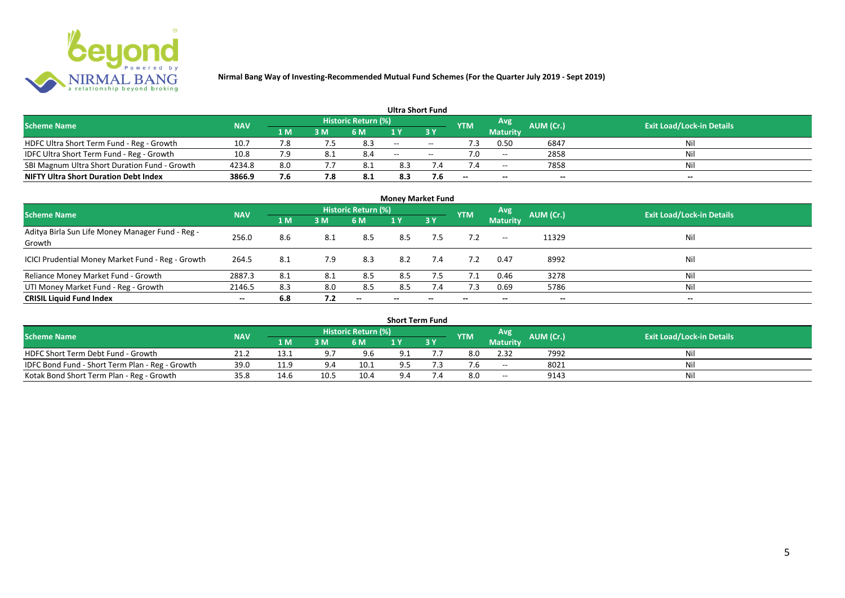

|                                               |            |     |     |                            | <b>Ultra Short Fund</b> |        |            |                 |           |                                  |
|-----------------------------------------------|------------|-----|-----|----------------------------|-------------------------|--------|------------|-----------------|-----------|----------------------------------|
| <b>Scheme Name</b>                            | <b>NAV</b> |     |     | <b>Historic Return (%)</b> |                         |        | <b>YTM</b> | Avg             | AUM (Cr.) | <b>Exit Load/Lock-in Details</b> |
|                                               |            | 1 M | 3 M | 6 M                        | 1 V                     |        |            | <b>Maturity</b> |           |                                  |
| HDFC Ultra Short Term Fund - Reg - Growth     | 10.7       |     |     | 8.3                        | $  \,$                  | $\sim$ |            | 0.50            | 6847      | Nil                              |
| IDFC Ultra Short Term Fund - Reg - Growth     | 10.8       |     | 8.1 | 8.4                        | $\sim$ $\sim$           | $- -$  |            | $-$             | 2858      | Nil                              |
| SBI Magnum Ultra Short Duration Fund - Growth | 4234.8     | 8.0 |     | 8.1                        | 8.3                     |        |            | $- -$           | 7858      | Nil                              |
| <b>NIFTY Ultra Short Duration Debt Index</b>  | 3866.9     | 7.6 |     | 8.1                        | 8.3                     | 7.6    | --         | $- -$           | $- -$     | $\overline{\phantom{a}}$         |

| <b>Money Market Fund</b>                                   |                          |     |     |                     |       |                          |            |                 |                          |                                  |  |  |  |  |
|------------------------------------------------------------|--------------------------|-----|-----|---------------------|-------|--------------------------|------------|-----------------|--------------------------|----------------------------------|--|--|--|--|
| <b>Scheme Name</b>                                         | <b>NAV</b>               |     |     | Historic Return (%) |       |                          | <b>YTM</b> | Avg             | AUM (Cr.)                | <b>Exit Load/Lock-in Details</b> |  |  |  |  |
|                                                            |                          | 1 M | 3M  | 6 M                 | 1Y    | 3Y                       |            | <b>Maturity</b> |                          |                                  |  |  |  |  |
| Aditya Birla Sun Life Money Manager Fund - Reg -<br>Growth | 256.0                    | 8.6 | 8.1 | 8.5                 | 8.5   | 7.5                      |            | $- -$           | 11329                    | Nil                              |  |  |  |  |
| ICICI Prudential Money Market Fund - Reg - Growth          | 264.5                    | 8.1 | 7.9 | 8.3                 | 8.2   | 7.4                      | 7.2        | 0.47            | 8992                     | Nil                              |  |  |  |  |
| Reliance Money Market Fund - Growth                        | 2887.3                   | 8.1 | 8.1 | 8.5                 | 8.5   | 7.5                      | 7.1        | 0.46            | 3278                     | Nil                              |  |  |  |  |
| UTI Money Market Fund - Reg - Growth                       | 2146.5                   | 8.3 | 8.0 | 8.5                 | 8.5   | 7.4                      | 7.3        | 0.69            | 5786                     | Nil                              |  |  |  |  |
| <b>CRISIL Liquid Fund Index</b>                            | $\overline{\phantom{a}}$ | 6.8 | 7.2 | $- -$               | $- -$ | $\overline{\phantom{a}}$ | $- -$      | --              | $\overline{\phantom{a}}$ | $- -$                            |  |  |  |  |

| <b>Short Term Fund</b>                          |                                  |      |               |      |     |     |            |                          |           |     |  |  |  |  |
|-------------------------------------------------|----------------------------------|------|---------------|------|-----|-----|------------|--------------------------|-----------|-----|--|--|--|--|
| <b>Scheme Name</b>                              | <b>Exit Load/Lock-in Details</b> |      |               |      |     |     |            |                          |           |     |  |  |  |  |
|                                                 | <b>NAV</b>                       | 1 M  | 3M            | 6 M  |     | 3 Y | <b>YTM</b> | <b>Maturity</b>          | AUM (Cr.) |     |  |  |  |  |
| HDFC Short Term Debt Fund - Growth              | 21.2                             | 13.1 | $Q^{\dagger}$ | 9.6  | 9.1 |     |            | 2.32                     | 7992      | Nil |  |  |  |  |
| IDFC Bond Fund - Short Term Plan - Reg - Growth | 39.0                             | 11.9 | $\Omega$      | 10.1 | 9.5 |     |            | $\overline{\phantom{a}}$ | 8021      | Nil |  |  |  |  |
| Kotak Bond Short Term Plan - Reg - Growth       | 35.8                             | 14.6 | 10.5          | 10.4 | 9.4 |     |            | $- -$                    | 9143      | Nil |  |  |  |  |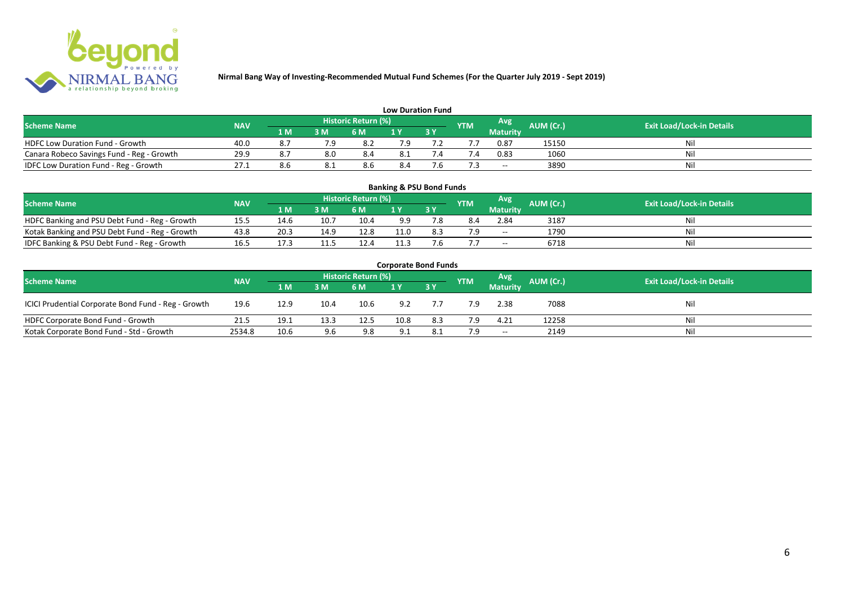

| <b>Low Duration Fund</b>                  |            |     |      |                            |     |  |               |          |           |                                  |  |  |  |  |
|-------------------------------------------|------------|-----|------|----------------------------|-----|--|---------------|----------|-----------|----------------------------------|--|--|--|--|
| <b>Scheme Name</b>                        | <b>NAV</b> |     |      | <b>Historic Return (%)</b> |     |  | <b>YTM</b>    | Avg      | AUM (Cr.) | <b>Exit Load/Lock-in Details</b> |  |  |  |  |
|                                           |            | 1 M | 3 M  | 6 M                        | 1 Y |  |               | Maturity |           |                                  |  |  |  |  |
| <b>HDFC Low Duration Fund - Growth</b>    | 40.0       | 8.7 |      | -8.2                       | 7.9 |  |               | 0.87     | 15150     | Nil                              |  |  |  |  |
| Canara Robeco Savings Fund - Reg - Growth | 29.9       |     | 8.0  | 8.4                        | 8.1 |  | $^{\prime}.4$ | 0.83     | 1060      | Nil                              |  |  |  |  |
| IDFC Low Duration Fund - Reg - Growth     | 27.1       |     | o. L | 8.6                        | 8.4 |  |               | $- -$    | 3890      | Nil                              |  |  |  |  |

| <b>Banking &amp; PSU Bond Funds</b>            |            |       |      |                     |      |      |     |                 |           |                                  |  |  |  |  |
|------------------------------------------------|------------|-------|------|---------------------|------|------|-----|-----------------|-----------|----------------------------------|--|--|--|--|
| <b>Scheme Name</b>                             | <b>NAV</b> |       |      | Historic Return (%) |      |      | YTM | Avg             | AUM (Cr.) | <b>Exit Load/Lock-in Details</b> |  |  |  |  |
|                                                |            | 1 M ' | 3 M  | 6 M                 |      | 73 Y |     | <b>Maturity</b> |           |                                  |  |  |  |  |
| HDFC Banking and PSU Debt Fund - Reg - Growth  | 15.5       | 14.6  | 10.7 | 10.4                | 9.9  |      | 8.4 | 2.84            | 3187      | Ni                               |  |  |  |  |
| Kotak Banking and PSU Debt Fund - Reg - Growth | 43.8       | 20.3  | 14.9 | 12.8                | 11.0 | 8.3  | ם ל | $- -$           | 1790      | Ni                               |  |  |  |  |
| IDFC Banking & PSU Debt Fund - Reg - Growth    | 16.5       | 17.3  |      | 12.4                | 11.3 |      |     | $- -$           | 6718      | Ni                               |  |  |  |  |

| <b>Corporate Bond Funds</b>                         |                                  |                |      |      |      |      |            |                 |           |     |  |  |  |  |
|-----------------------------------------------------|----------------------------------|----------------|------|------|------|------|------------|-----------------|-----------|-----|--|--|--|--|
| <b>Scheme Name</b>                                  | <b>Exit Load/Lock-in Details</b> |                |      |      |      |      |            |                 |           |     |  |  |  |  |
|                                                     | <b>NAV</b>                       | 1 <sub>M</sub> | 3 M  | 6 M  | 1 Y  | 73 Y | <b>YTM</b> | <b>Maturity</b> | AUM (Cr.) |     |  |  |  |  |
| ICICI Prudential Corporate Bond Fund - Reg - Growth | 19.6                             | 12.9           | 10.4 | 10.6 | 9.2  |      | 7.9        | 2.38            | 7088      | Nil |  |  |  |  |
| HDFC Corporate Bond Fund - Growth                   | 21.5                             | 19.1           | 13.3 | 12.5 | 10.8 | 8.3  | 7.9        | 4.21            | 12258     | Nil |  |  |  |  |
| Kotak Corporate Bond Fund - Std - Growth            | 2534.8                           | 10.6           | 9.6  | 9.8  | 9.1  | 8.1  | 7.9        | $\sim$          | 2149      | Nil |  |  |  |  |